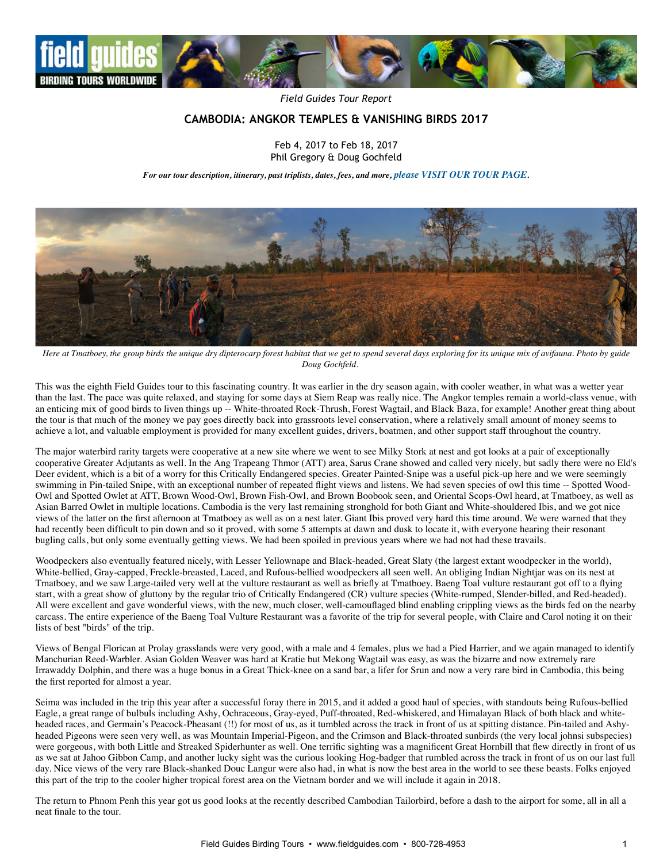

*Field Guides Tour Report*

# **CAMBODIA: ANGKOR TEMPLES & VANISHING BIRDS 2017**

Feb 4, 2017 to Feb 18, 2017 Phil Gregory & Doug Gochfeld

*For our tour description, itinerary, past triplists, dates, fees, and more, [please VISIT OUR TOUR PAGE](http://www.fieldguides.com/bird-tours/cambodia).*



*Here at Tmatboey, the group birds the unique dry dipterocarp forest habitat that we get to spend several days exploring for its unique mix of avifauna. Photo by guide Doug Gochfeld.*

This was the eighth Field Guides tour to this fascinating country. It was earlier in the dry season again, with cooler weather, in what was a wetter year than the last. The pace was quite relaxed, and staying for some days at Siem Reap was really nice. The Angkor temples remain a world-class venue, with an enticing mix of good birds to liven things up -- White-throated Rock-Thrush, Forest Wagtail, and Black Baza, for example! Another great thing about the tour is that much of the money we pay goes directly back into grassroots level conservation, where a relatively small amount of money seems to achieve a lot, and valuable employment is provided for many excellent guides, drivers, boatmen, and other support staff throughout the country.

The major waterbird rarity targets were cooperative at a new site where we went to see Milky Stork at nest and got looks at a pair of exceptionally cooperative Greater Adjutants as well. In the Ang Trapeang Thmor (ATT) area, Sarus Crane showed and called very nicely, but sadly there were no Eld's Deer evident, which is a bit of a worry for this Critically Endangered species. Greater Painted-Snipe was a useful pick-up here and we were seemingly swimming in Pin-tailed Snipe, with an exceptional number of repeated flight views and listens. We had seven species of owl this time -- Spotted Wood-Owl and Spotted Owlet at ATT, Brown Wood-Owl, Brown Fish-Owl, and Brown Boobook seen, and Oriental Scops-Owl heard, at Tmatboey, as well as Asian Barred Owlet in multiple locations. Cambodia is the very last remaining stronghold for both Giant and White-shouldered Ibis, and we got nice views of the latter on the first afternoon at Tmatboey as well as on a nest later. Giant Ibis proved very hard this time around. We were warned that they had recently been difficult to pin down and so it proved, with some 5 attempts at dawn and dusk to locate it, with everyone hearing their resonant bugling calls, but only some eventually getting views. We had been spoiled in previous years where we had not had these travails.

Woodpeckers also eventually featured nicely, with Lesser Yellownape and Black-headed, Great Slaty (the largest extant woodpecker in the world), White-bellied, Gray-capped, Freckle-breasted, Laced, and Rufous-bellied woodpeckers all seen well. An obliging Indian Nightjar was on its nest at Tmatboey, and we saw Large-tailed very well at the vulture restaurant as well as briefly at Tmatboey. Baeng Toal vulture restaurant got off to a flying start, with a great show of gluttony by the regular trio of Critically Endangered (CR) vulture species (White-rumped, Slender-billed, and Red-headed). All were excellent and gave wonderful views, with the new, much closer, well-camouflaged blind enabling crippling views as the birds fed on the nearby carcass. The entire experience of the Baeng Toal Vulture Restaurant was a favorite of the trip for several people, with Claire and Carol noting it on their lists of best "birds" of the trip.

Views of Bengal Florican at Prolay grasslands were very good, with a male and 4 females, plus we had a Pied Harrier, and we again managed to identify Manchurian Reed-Warbler. Asian Golden Weaver was hard at Kratie but Mekong Wagtail was easy, as was the bizarre and now extremely rare Irrawaddy Dolphin, and there was a huge bonus in a Great Thick-knee on a sand bar, a lifer for Srun and now a very rare bird in Cambodia, this being the first reported for almost a year.

Seima was included in the trip this year after a successful foray there in 2015, and it added a good haul of species, with standouts being Rufous-bellied Eagle, a great range of bulbuls including Ashy, Ochraceous, Gray-eyed, Puff-throated, Red-whiskered, and Himalayan Black of both black and whiteheaded races, and Germain's Peacock-Pheasant (!!) for most of us, as it tumbled across the track in front of us at spitting distance. Pin-tailed and Ashyheaded Pigeons were seen very well, as was Mountain Imperial-Pigeon, and the Crimson and Black-throated sunbirds (the very local johnsi subspecies) were gorgeous, with both Little and Streaked Spiderhunter as well. One terrific sighting was a magnificent Great Hornbill that flew directly in front of us as we sat at Jahoo Gibbon Camp, and another lucky sight was the curious looking Hog-badger that rumbled across the track in front of us on our last full day. Nice views of the very rare Black-shanked Douc Langur were also had, in what is now the best area in the world to see these beasts. Folks enjoyed this part of the trip to the cooler higher tropical forest area on the Vietnam border and we will include it again in 2018.

The return to Phnom Penh this year got us good looks at the recently described Cambodian Tailorbird, before a dash to the airport for some, all in all a neat finale to the tour.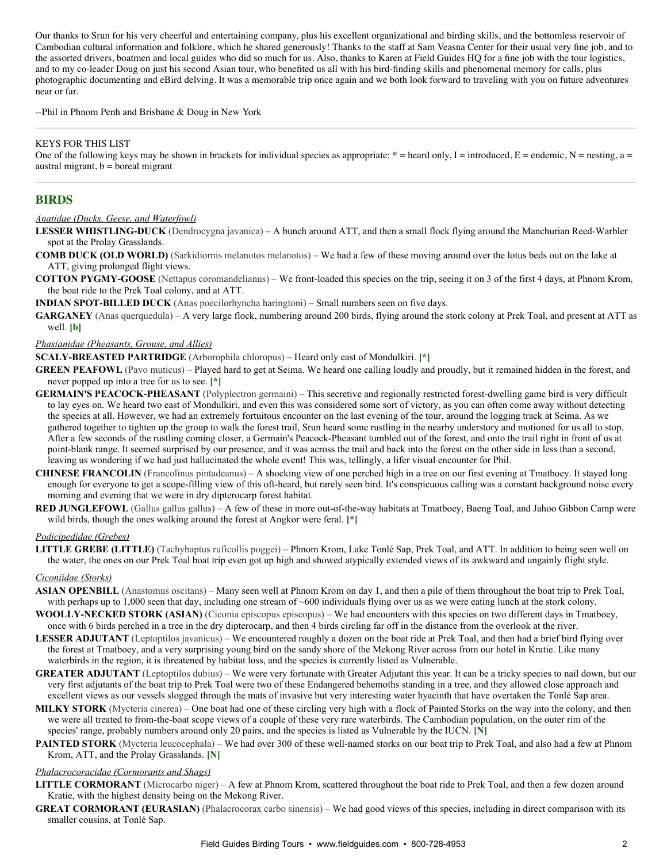Our thanks to Srun for his very cheerful and entertaining company, plus his excellent organizational and birding skills, and the bottomless reservoir of Cambodian cultural information and folklore, which he shared generously! Thanks to the staff at Sam Veasna Center for their usual very fine job, and to the assorted drivers, boatmen and local guides who did so much for us. Also, thanks to Karen at Field Guides HQ for a fine job with the tour logistics, and to my co-leader Doug on just his second Asian tour, who benefited us all with his bird-finding skills and phenomenal memory for calls, plus photographic documenting and eBird delving. It was a memorable trip once again and we both look forward to traveling with you on future adventures near or far.

--Phil in Phnom Penh and Brisbane & Doug in New York

### KEYS FOR THIS LIST

One of the following keys may be shown in brackets for individual species as appropriate:  $* =$  heard only, I = introduced, E = endemic, N = nesting, a = austral migrant,  $b =$  boreal migrant

### **BIRDS**

#### *Anatidae (Ducks, Geese, and Waterfowl)*

- LESSER WHISTLING-DUCK (Dendrocygna javanica) A bunch around ATT, and then a small flock flying around the Manchurian Reed-Warbler spot at the Prolay Grasslands.
- **COMB DUCK (OLD WORLD)** (Sarkidiornis melanotos melanotos) We had a few of these moving around over the lotus beds out on the lake at ATT, giving prolonged flight views.
- COTTON PYGMY-GOOSE (Nettapus coromandelianus) We front-loaded this species on the trip, seeing it on 3 of the first 4 days, at Phnom Krom, the boat ride to the Prek Toal colony, and at ATT.

**INDIAN SPOT-BILLED DUCK** (Anas poecilorhyncha haringtoni) – Small numbers seen on five days.

**GARGANEY** (Anas querquedula) – A very large flock, numbering around 200 birds, flying around the stork colony at Prek Toal, and present at ATT as well. **[b]**

#### *Phasianidae (Pheasants, Grouse, and Allies)*

**SCALY-BREASTED PARTRIDGE** (Arborophila chloropus) – Heard only east of Mondulkiri. [\*]

**GREEN PEAFOWL** (Pavo muticus) – Played hard to get at Seima. We heard one calling loudly and proudly, but it remained hidden in the forest, and never popped up into a tree for us to see. **[\*]**

- **GERMAIN'S PEACOCK-PHEASANT** (Polyplectron germaini) This secretive and regionally restricted forest-dwelling game bird is very difficult to lay eyes on. We heard two east of Mondulkiri, and even this was considered some sort of victory, as you can often come away without detecting the species at all. However, we had an extremely fortuitous encounter on the last evening of the tour, around the logging track at Seima. As we gathered together to tighten up the group to walk the forest trail, Srun heard some rustling in the nearby understory and motioned for us all to stop. After a few seconds of the rustling coming closer, a Germain's Peacock-Pheasant tumbled out of the forest, and onto the trail right in front of us at point-blank range. It seemed surprised by our presence, and it was across the trail and back into the forest on the other side in less than a second, leaving us wondering if we had just hallucinated the whole event! This was, tellingly, a lifer visual encounter for Phil.
- **CHINESE FRANCOLIN** (Francolinus pintadeanus) A shocking view of one perched high in a tree on our first evening at Tmatboey. It stayed long enough for everyone to get a scope-filling view of this oft-heard, but rarely seen bird. It's conspicuous calling was a constant background noise every morning and evening that we were in dry dipterocarp forest habitat.
- RED JUNGLEFOWL (Gallus gallus gallus) A few of these in more out-of-the-way habitats at Tmatboey, Baeng Toal, and Jahoo Gibbon Camp were wild birds, though the ones walking around the forest at Angkor were feral. **[\*]**

#### *Podicipedidae (Grebes)*

**LITTLE GREBE (LITTLE)** (Tachybaptus ruficollis poggei) – Phnom Krom, Lake Tonlé Sap, Prek Toal, and ATT. In addition to being seen well on the water, the ones on our Prek Toal boat trip even got up high and showed atypically extended views of its awkward and ungainly flight style.

#### *Ciconiidae (Storks)*

- **ASIAN OPENBILL** (Anastomus oscitans) Many seen well at Phnom Krom on day 1, and then a pile of them throughout the boat trip to Prek Toal, with perhaps up to 1,000 seen that day, including one stream of ~600 individuals flying over us as we were eating lunch at the stork colony.
- WOOLLY-NECKED STORK (ASIAN) (Ciconia episcopus episcopus) We had encounters with this species on two different days in Tmatboey, once with 6 birds perched in a tree in the dry dipterocarp, and then 4 birds circling far off in the distance from the overlook at the river.
- LESSER ADJUTANT (Leptoptilos javanicus) We encountered roughly a dozen on the boat ride at Prek Toal, and then had a brief bird flying over the forest at Tmatboey, and a very surprising young bird on the sandy shore of the Mekong River across from our hotel in Kratie. Like many waterbirds in the region, it is threatened by habitat loss, and the species is currently listed as Vulnerable.
- **GREATER ADJUTANT** (Leptoptilos dubius) We were very fortunate with Greater Adjutant this year. It can be a tricky species to nail down, but our very first adjutants of the boat trip to Prek Toal were two of these Endangered behemoths standing in a tree, and they allowed close approach and excellent views as our vessels slogged through the mats of invasive but very interesting water hyacinth that have overtaken the Tonlé Sap area.
- **MILKY STORK** (Mycteria cinerea) One boat had one of these circling very high with a flock of Painted Storks on the way into the colony, and then we were all treated to from-the-boat scope views of a couple of these very rare waterbirds. The Cambodian population, on the outer rim of the species' range, probably numbers around only 20 pairs, and the species is listed as Vulnerable by the IUCN. **[N]**
- **PAINTED STORK** (Mycteria leucocephala) We had over 300 of these well-named storks on our boat trip to Prek Toal, and also had a few at Phnom Krom, ATT, and the Prolay Grasslands. **[N]**

### *Phalacrocoracidae (Cormorants and Shags)*

- **LITTLE CORMORANT** (Microcarbo niger) A few at Phnom Krom, scattered throughout the boat ride to Prek Toal, and then a few dozen around Kratie, with the highest density being on the Mekong River.
- **GREAT CORMORANT (EURASIAN)** (Phalacrocorax carbo sinensis) We had good views of this species, including in direct comparison with its smaller cousins, at Tonlé Sap.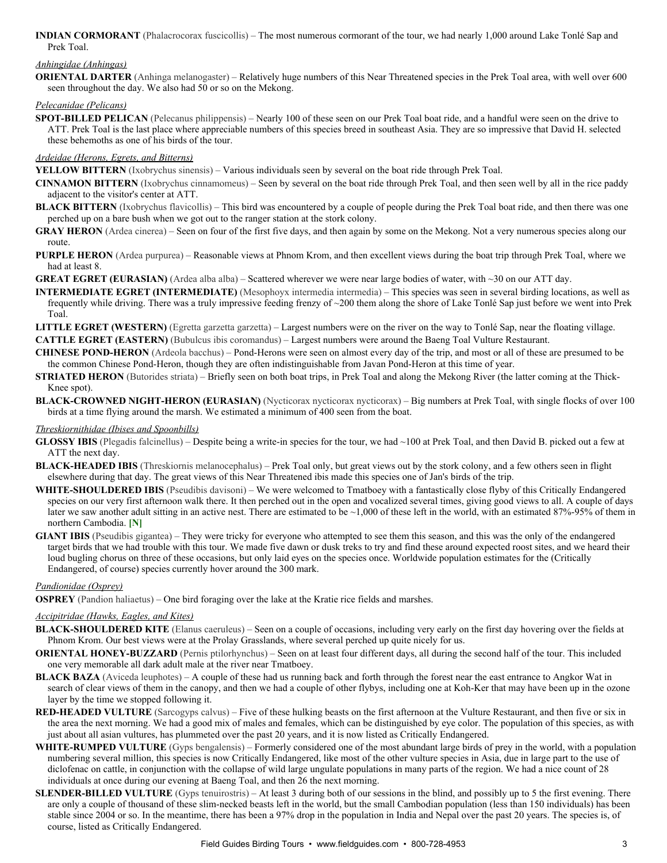**INDIAN CORMORANT** (Phalacrocorax fuscicollis) – The most numerous cormorant of the tour, we had nearly 1,000 around Lake Tonlé Sap and Prek Toal.

## *Anhingidae (Anhingas)*

**ORIENTAL DARTER** (Anhinga melanogaster) – Relatively huge numbers of this Near Threatened species in the Prek Toal area, with well over 600 seen throughout the day. We also had 50 or so on the Mekong.

### *Pelecanidae (Pelicans)*

**SPOT-BILLED PELICAN** (Pelecanus philippensis) – Nearly 100 of these seen on our Prek Toal boat ride, and a handful were seen on the drive to ATT. Prek Toal is the last place where appreciable numbers of this species breed in southeast Asia. They are so impressive that David H. selected these behemoths as one of his birds of the tour.

### *Ardeidae (Herons, Egrets, and Bitterns)*

**YELLOW BITTERN** (Ixobrychus sinensis) – Various individuals seen by several on the boat ride through Prek Toal.

- **CINNAMON BITTERN** (Ixobrychus cinnamomeus) Seen by several on the boat ride through Prek Toal, and then seen well by all in the rice paddy adjacent to the visitor's center at ATT.
- **BLACK BITTERN** (Ixobrychus flavicollis) This bird was encountered by a couple of people during the Prek Toal boat ride, and then there was one perched up on a bare bush when we got out to the ranger station at the stork colony.
- GRAY HERON (Ardea cinerea) Seen on four of the first five days, and then again by some on the Mekong. Not a very numerous species along our route.
- **PURPLE HERON** (Ardea purpurea) Reasonable views at Phnom Krom, and then excellent views during the boat trip through Prek Toal, where we had at least 8.
- **GREAT EGRET (EURASIAN)** (Ardea alba alba) Scattered wherever we were near large bodies of water, with ~30 on our ATT day.
- **INTERMEDIATE EGRET (INTERMEDIATE)** (Mesophoyx intermedia intermedia) This species was seen in several birding locations, as well as frequently while driving. There was a truly impressive feeding frenzy of ~200 them along the shore of Lake Tonlé Sap just before we went into Prek Toal.
- **LITTLE EGRET (WESTERN)** (Egretta garzetta garzetta) Largest numbers were on the river on the way to Tonlé Sap, near the floating village. **CATTLE EGRET (EASTERN)** (Bubulcus ibis coromandus) – Largest numbers were around the Baeng Toal Vulture Restaurant.
- **CHINESE POND-HERON** (Ardeola bacchus) Pond-Herons were seen on almost every day of the trip, and most or all of these are presumed to be the common Chinese Pond-Heron, though they are often indistinguishable from Javan Pond-Heron at this time of year.
- **STRIATED HERON** (Butorides striata) Briefly seen on both boat trips, in Prek Toal and along the Mekong River (the latter coming at the Thick-Knee spot).
- **BLACK-CROWNED NIGHT-HERON (EURASIAN)** (Nycticorax nycticorax nycticorax) Big numbers at Prek Toal, with single flocks of over 100 birds at a time flying around the marsh. We estimated a minimum of 400 seen from the boat.

### *Threskiornithidae (Ibises and Spoonbills)*

- **GLOSSY IBIS** (Plegadis falcinellus) Despite being a write-in species for the tour, we had ~100 at Prek Toal, and then David B. picked out a few at ATT the next day.
- **BLACK-HEADED IBIS** (Threskiornis melanocephalus) Prek Toal only, but great views out by the stork colony, and a few others seen in flight elsewhere during that day. The great views of this Near Threatened ibis made this species one of Jan's birds of the trip.
- **WHITE-SHOULDERED IBIS** (Pseudibis davisoni) We were welcomed to Tmatboey with a fantastically close flyby of this Critically Endangered species on our very first afternoon walk there. It then perched out in the open and vocalized several times, giving good views to all. A couple of days later we saw another adult sitting in an active nest. There are estimated to be  $\sim$ 1,000 of these left in the world, with an estimated 87%-95% of them in northern Cambodia. **[N]**
- **GIANT IBIS** (Pseudibis gigantea) They were tricky for everyone who attempted to see them this season, and this was the only of the endangered target birds that we had trouble with this tour. We made five dawn or dusk treks to try and find these around expected roost sites, and we heard their loud bugling chorus on three of these occasions, but only laid eyes on the species once. Worldwide population estimates for the (Critically Endangered, of course) species currently hover around the 300 mark.

### *Pandionidae (Osprey)*

**OSPREY** (Pandion haliaetus) – One bird foraging over the lake at the Kratie rice fields and marshes.

### *Accipitridae (Hawks, Eagles, and Kites)*

- BLACK-SHOULDERED KITE (Elanus caeruleus) Seen on a couple of occasions, including very early on the first day hovering over the fields at Phnom Krom. Our best views were at the Prolay Grasslands, where several perched up quite nicely for us.
- **ORIENTAL HONEY-BUZZARD** (Pernis ptilorhynchus) Seen on at least four different days, all during the second half of the tour. This included one very memorable all dark adult male at the river near Tmatboey.
- **BLACK BAZA** (Aviceda leuphotes) A couple of these had us running back and forth through the forest near the east entrance to Angkor Wat in search of clear views of them in the canopy, and then we had a couple of other flybys, including one at Koh-Ker that may have been up in the ozone layer by the time we stopped following it.
- **RED-HEADED VULTURE** (Sarcogyps calvus) Five of these hulking beasts on the first afternoon at the Vulture Restaurant, and then five or six in the area the next morning. We had a good mix of males and females, which can be distinguished by eye color. The population of this species, as with just about all asian vultures, has plummeted over the past 20 years, and it is now listed as Critically Endangered.
- WHITE-RUMPED VULTURE (Gyps bengalensis) Formerly considered one of the most abundant large birds of prey in the world, with a population numbering several million, this species is now Critically Endangered, like most of the other vulture species in Asia, due in large part to the use of diclofenac on cattle, in conjunction with the collapse of wild large ungulate populations in many parts of the region. We had a nice count of 28 individuals at once during our evening at Baeng Toal, and then 26 the next morning.
- **SLENDER-BILLED VULTURE** (Gyps tenuirostris) At least 3 during both of our sessions in the blind, and possibly up to 5 the first evening. There are only a couple of thousand of these slim-necked beasts left in the world, but the small Cambodian population (less than 150 individuals) has been stable since 2004 or so. In the meantime, there has been a 97% drop in the population in India and Nepal over the past 20 years. The species is, of course, listed as Critically Endangered.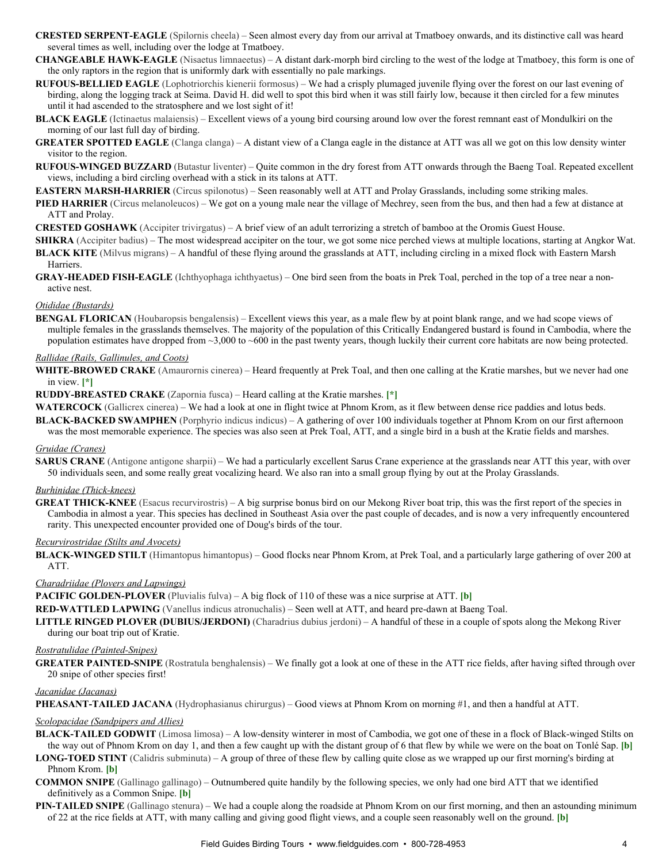- **CRESTED SERPENT-EAGLE** (Spilornis cheela) Seen almost every day from our arrival at Tmatboey onwards, and its distinctive call was heard several times as well, including over the lodge at Tmatboey.
- **CHANGEABLE HAWK-EAGLE** (Nisaetus limnaeetus) A distant dark-morph bird circling to the west of the lodge at Tmatboey, this form is one of the only raptors in the region that is uniformly dark with essentially no pale markings.
- **RUFOUS-BELLIED EAGLE** (Lophotriorchis kienerii formosus) We had a crisply plumaged juvenile flying over the forest on our last evening of birding, along the logging track at Seima. David H. did well to spot this bird when it was still fairly low, because it then circled for a few minutes until it had ascended to the stratosphere and we lost sight of it!
- **BLACK EAGLE** (Ictinaetus malaiensis) Excellent views of a young bird coursing around low over the forest remnant east of Mondulkiri on the morning of our last full day of birding.
- **GREATER SPOTTED EAGLE** (Clanga clanga) A distant view of a Clanga eagle in the distance at ATT was all we got on this low density winter visitor to the region.
- **RUFOUS-WINGED BUZZARD** (Butastur liventer) Quite common in the dry forest from ATT onwards through the Baeng Toal. Repeated excellent views, including a bird circling overhead with a stick in its talons at ATT.
- **EASTERN MARSH-HARRIER** (Circus spilonotus) Seen reasonably well at ATT and Prolay Grasslands, including some striking males.
- **PIED HARRIER** (Circus melanoleucos) We got on a young male near the village of Mechrey, seen from the bus, and then had a few at distance at ATT and Prolay.
- **CRESTED GOSHAWK** (Accipiter trivirgatus) A brief view of an adult terrorizing a stretch of bamboo at the Oromis Guest House.
- **SHIKRA** (Accipiter badius) The most widespread accipiter on the tour, we got some nice perched views at multiple locations, starting at Angkor Wat.
- **BLACK KITE** (Milvus migrans) A handful of these flying around the grasslands at ATT, including circling in a mixed flock with Eastern Marsh Harriers.
- **GRAY-HEADED FISH-EAGLE** (Ichthyophaga ichthyaetus) One bird seen from the boats in Prek Toal, perched in the top of a tree near a nonactive nest.

### *Otididae (Bustards)*

**BENGAL FLORICAN** (Houbaropsis bengalensis) – Excellent views this year, as a male flew by at point blank range, and we had scope views of multiple females in the grasslands themselves. The majority of the population of this Critically Endangered bustard is found in Cambodia, where the population estimates have dropped from ~3,000 to ~600 in the past twenty years, though luckily their current core habitats are now being protected.

#### *Rallidae (Rails, Gallinules, and Coots)*

- WHITE-BROWED CRAKE (Amaurornis cinerea) Heard frequently at Prek Toal, and then one calling at the Kratie marshes, but we never had one in view. **[\*]**
- **RUDDY-BREASTED CRAKE** (Zapornia fusca) Heard calling at the Kratie marshes. [\*]
- **WATERCOCK** (Gallicrex cinerea) We had a look at one in flight twice at Phnom Krom, as it flew between dense rice paddies and lotus beds.
- **BLACK-BACKED SWAMPHEN** (Porphyrio indicus indicus) A gathering of over 100 individuals together at Phnom Krom on our first afternoon was the most memorable experience. The species was also seen at Prek Toal, ATT, and a single bird in a bush at the Kratie fields and marshes.

### *Gruidae (Cranes)*

**SARUS CRANE** (Antigone antigone sharpii) – We had a particularly excellent Sarus Crane experience at the grasslands near ATT this year, with over 50 individuals seen, and some really great vocalizing heard. We also ran into a small group flying by out at the Prolay Grasslands.

### $Burhinidae$  (Thick-knees)

**GREAT THICK-KNEE** (Esacus recurvirostris) – A big surprise bonus bird on our Mekong River boat trip, this was the first report of the species in Cambodia in almost a year. This species has declined in Southeast Asia over the past couple of decades, and is now a very infrequently encountered rarity. This unexpected encounter provided one of Doug's birds of the tour.

### *Recurvirostridae (Stilts and Avocets)*

**BLACK-WINGED STILT** (Himantopus himantopus) – Good flocks near Phnom Krom, at Prek Toal, and a particularly large gathering of over 200 at ATT.

### *Charadriidae (Plovers and Lapwings)*

**PACIFIC GOLDEN-PLOVER** (Pluvialis fulva) – A big flock of 110 of these was a nice surprise at ATT. [b]

**RED-WATTLED LAPWING** (Vanellus indicus atronuchalis) – Seen well at ATT, and heard pre-dawn at Baeng Toal.

**LITTLE RINGED PLOVER (DUBIUS/JERDONI)** (Charadrius dubius jerdoni) – A handful of these in a couple of spots along the Mekong River during our boat trip out of Kratie.

### *Rostratulidae (Painted-Snipes)*

**GREATER PAINTED-SNIPE** (Rostratula benghalensis) – We finally got a look at one of these in the ATT rice fields, after having sifted through over 20 snipe of other species first!

### *Jacanidae (Jacanas)*

**PHEASANT-TAILED JACANA** (Hydrophasianus chirurgus) – Good views at Phnom Krom on morning #1, and then a handful at ATT.

### *Scolopacidae (Sandpipers and Allies)*

- BLACK-TAILED GODWIT (Limosa limosa) A low-density winterer in most of Cambodia, we got one of these in a flock of Black-winged Stilts on the way out of Phnom Krom on day 1, and then a few caught up with the distant group of 6 that flew by while we were on the boat on Tonlé Sap. **[b]**
- **LONG-TOED STINT** (Calidris subminuta) A group of three of these flew by calling quite close as we wrapped up our first morning's birding at Phnom Krom. **[b]**
- **COMMON SNIPE** (Gallinago gallinago) Outnumbered quite handily by the following species, we only had one bird ATT that we identified definitively as a Common Snipe. **[b]**
- **PIN-TAILED SNIPE** (Gallinago stenura) We had a couple along the roadside at Phnom Krom on our first morning, and then an astounding minimum of 22 at the rice fields at ATT, with many calling and giving good flight views, and a couple seen reasonably well on the ground. **[b]**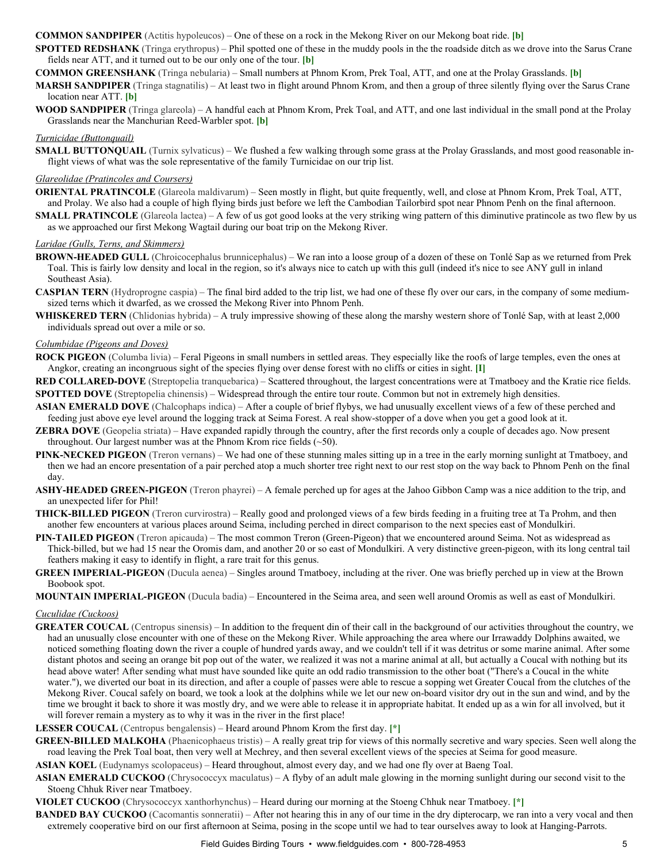### **COMMON SANDPIPER** (Actitis hypoleucos) – One of these on a rock in the Mekong River on our Mekong boat ride. **[b]**

**SPOTTED REDSHANK** (Tringa erythropus) – Phil spotted one of these in the muddy pools in the the roadside ditch as we drove into the Sarus Crane fields near ATT, and it turned out to be our only one of the tour. **[b]**

**COMMON GREENSHANK** (Tringa nebularia) – Small numbers at Phnom Krom, Prek Toal, ATT, and one at the Prolay Grasslands. **[b]**

**MARSH SANDPIPER** (Tringa stagnatilis) – At least two in flight around Phnom Krom, and then a group of three silently flying over the Sarus Crane location near ATT. **[b]**

**WOOD SANDPIPER** (Tringa glareola) – A handful each at Phnom Krom, Prek Toal, and ATT, and one last individual in the small pond at the Prolay Grasslands near the Manchurian Reed-Warbler spot. **[b]** 

### *Turnicidae (Buttonquail)*

**SMALL BUTTONQUAIL** (Turnix sylvaticus) – We flushed a few walking through some grass at the Prolay Grasslands, and most good reasonable inflight views of what was the sole representative of the family Turnicidae on our trip list.

### *Glareolidae (Pratincoles and Coursers)*

**ORIENTAL PRATINCOLE** (Glareola maldivarum) – Seen mostly in flight, but quite frequently, well, and close at Phnom Krom, Prek Toal, ATT, and Prolay. We also had a couple of high flying birds just before we left the Cambodian Tailorbird spot near Phnom Penh on the final afternoon.

**SMALL PRATINCOLE** (Glareola lactea) – A few of us got good looks at the very striking wing pattern of this diminutive pratincole as two flew by us as we approached our first Mekong Wagtail during our boat trip on the Mekong River.

### *Laridae (Gulls, Terns, and Skimmers)*

- **BROWN-HEADED GULL** (Chroicocephalus brunnicephalus) We ran into a loose group of a dozen of these on Tonlé Sap as we returned from Prek Toal. This is fairly low density and local in the region, so it's always nice to catch up with this gull (indeed it's nice to see ANY gull in inland Southeast Asia).
- **CASPIAN TERN** (Hydroprogne caspia) The final bird added to the trip list, we had one of these fly over our cars, in the company of some mediumsized terns which it dwarfed, as we crossed the Mekong River into Phnom Penh.
- **WHISKERED TERN** (Chlidonias hybrida) A truly impressive showing of these along the marshy western shore of Tonlé Sap, with at least 2,000 individuals spread out over a mile or so.

### *Columbidae (Pigeons and Doves)*

**ROCK PIGEON** (Columba livia) – Feral Pigeons in small numbers in settled areas. They especially like the roofs of large temples, even the ones at Angkor, creating an incongruous sight of the species flying over dense forest with no cliffs or cities in sight. **[I]**

**RED COLLARED-DOVE** (Streptopelia tranquebarica) – Scattered throughout, the largest concentrations were at Tmatboey and the Kratie rice fields. **SPOTTED DOVE** (Streptopelia chinensis) – Widespread through the entire tour route. Common but not in extremely high densities.

- **ASIAN EMERALD DOVE** (Chalcophaps indica) After a couple of brief flybys, we had unusually excellent views of a few of these perched and feeding just above eye level around the logging track at Seima Forest. A real showstopper of a dove when you get a good look at it.
- **ZEBRA DOVE** (Geopelia striata) Have expanded rapidly through the country, after the first records only a couple of decades ago. Now present throughout. Our largest number was at the Phnom Krom rice fields  $(\sim 50)$ .
- **PINK-NECKED PIGEON** (Treron vernans) We had one of these stunning males sitting up in a tree in the early morning sunlight at Tmatboey, and then we had an encore presentation of a pair perched atop a much shorter tree right next to our rest stop on the way back to Phnom Penh on the final day.
- **ASHY-HEADED GREEN-PIGEON** (Treron phayrei) A female perched up for ages at the Jahoo Gibbon Camp was a nice addition to the trip, and an unexpected lifer for Phil!
- **THICK-BILLED PIGEON** (Treron curvirostra) Really good and prolonged views of a few birds feeding in a fruiting tree at Ta Prohm, and then another few encounters at various places around Seima, including perched in direct comparison to the next species east of Mondulkiri.
- **PIN-TAILED PIGEON** (Treron apicauda) The most common Treron (Green-Pigeon) that we encountered around Seima. Not as widespread as Thick-billed, but we had 15 near the Oromis dam, and another 20 or so east of Mondulkiri. A very distinctive green-pigeon, with its long central tail feathers making it easy to identify in flight, a rare trait for this genus.
- **GREEN IMPERIAL-PIGEON** (Ducula aenea) Singles around Tmatboey, including at the river. One was briefly perched up in view at the Brown Boobook spot.

**MOUNTAIN IMPERIALPIGEON** (Ducula badia) – Encountered in the Seima area, and seen well around Oromis as well as east of Mondulkiri.

### *Cuculidae (Cuckoos)*

**GREATER COUCAL** (Centropus sinensis) – In addition to the frequent din of their call in the background of our activities throughout the country, we had an unusually close encounter with one of these on the Mekong River. While approaching the area where our Irrawaddy Dolphins awaited, we noticed something floating down the river a couple of hundred yards away, and we couldn't tell if it was detritus or some marine animal. After some distant photos and seeing an orange bit pop out of the water, we realized it was not a marine animal at all, but actually a Coucal with nothing but its head above water! After sending what must have sounded like quite an odd radio transmission to the other boat ("There's a Coucal in the white water."), we diverted our boat in its direction, and after a couple of passes were able to rescue a sopping wet Greater Coucal from the clutches of the Mekong River. Coucal safely on board, we took a look at the dolphins while we let our new on-board visitor dry out in the sun and wind, and by the time we brought it back to shore it was mostly dry, and we were able to release it in appropriate habitat. It ended up as a win for all involved, but it will forever remain a mystery as to why it was in the river in the first place!

**LESSER COUCAL** (Centropus bengalensis) – Heard around Phnom Krom the first day. **[\*]**

**GREEN-BILLED MALKOHA** (Phaenicophaeus tristis) – A really great trip for views of this normally secretive and wary species. Seen well along the road leaving the Prek Toal boat, then very well at Mechrey, and then several excellent views of the species at Seima for good measure.

**ASIAN KOEL** (Eudynamys scolopaceus) – Heard throughout, almost every day, and we had one fly over at Baeng Toal.

ASIAN EMERALD CUCKOO (Chrysococcyx maculatus) – A flyby of an adult male glowing in the morning sunlight during our second visit to the Stoeng Chhuk River near Tmatboey.

**VIOLET CUCKOO** (Chrysococcyx xanthorhynchus) – Heard during our morning at the Stoeng Chhuk near Tmatboey. **[\*]**

**BANDED BAY CUCKOO** (Cacomantis sonneratii) – After not hearing this in any of our time in the dry dipterocarp, we ran into a very vocal and then extremely cooperative bird on our first afternoon at Seima, posing in the scope until we had to tear ourselves away to look at Hanging-Parrots.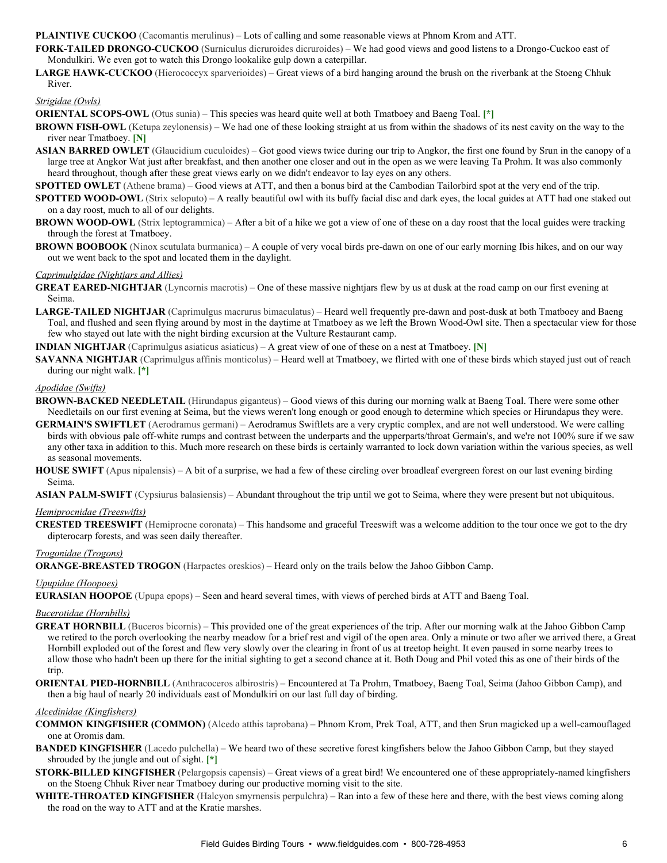**PLAINTIVE CUCKOO** (Cacomantis merulinus) – Lots of calling and some reasonable views at Phnom Krom and ATT.

FORK-TAILED DRONGO-CUCKOO (Surniculus dicruroides dicruroides) – We had good views and good listens to a Drongo-Cuckoo east of Mondulkiri. We even got to watch this Drongo lookalike gulp down a caterpillar.

LARGE HAWK-CUCKOO (Hierococcyx sparverioides) – Great views of a bird hanging around the brush on the riverbank at the Stoeng Chhuk River.

## *Strigidae (Owls)*

**ORIENTAL SCOPS-OWL** (Otus sunia) – This species was heard quite well at both Tmatboey and Baeng Toal. [\*]

- **BROWN FISH-OWL** (Ketupa zeylonensis) We had one of these looking straight at us from within the shadows of its nest cavity on the way to the river near Tmatboey. **[N]**
- **ASIAN BARRED OWLET** (Glaucidium cuculoides) Got good views twice during our trip to Angkor, the first one found by Srun in the canopy of a large tree at Angkor Wat just after breakfast, and then another one closer and out in the open as we were leaving Ta Prohm. It was also commonly heard throughout, though after these great views early on we didn't endeavor to lay eyes on any others.

**SPOTTED OWLET** (Athene brama) – Good views at ATT, and then a bonus bird at the Cambodian Tailorbird spot at the very end of the trip.

**SPOTTED WOOD-OWL** (Strix seloputo) – A really beautiful owl with its buffy facial disc and dark eyes, the local guides at ATT had one staked out on a day roost, much to all of our delights.

- **BROWN WOOD-OWL** (Strix leptogrammica) After a bit of a hike we got a view of one of these on a day roost that the local guides were tracking through the forest at Tmatboey.
- **BROWN BOOBOOK** (Ninox scutulata burmanica) A couple of very vocal birds pre-dawn on one of our early morning Ibis hikes, and on our way out we went back to the spot and located them in the daylight.

### *Caprimulgidae (Nightjars and Allies)*

- **GREAT EARED-NIGHTJAR** (Lyncornis macrotis) One of these massive nightjars flew by us at dusk at the road camp on our first evening at Seima.
- LARGE-TAILED NIGHTJAR (Caprimulgus macrurus bimaculatus) Heard well frequently pre-dawn and post-dusk at both Tmatboey and Baeng Toal, and flushed and seen flying around by most in the daytime at Tmatboey as we left the Brown Wood-Owl site. Then a spectacular view for those few who stayed out late with the night birding excursion at the Vulture Restaurant camp.

**INDIAN NIGHTJAR** (Caprimulgus asiaticus asiaticus) – A great view of one of these on a nest at Tmatboey. **[N]**

**SAVANNA NIGHTJAR** (Caprimulgus affinis monticolus) – Heard well at Tmatboey, we flirted with one of these birds which stayed just out of reach during our night walk. **[\*]**

### *Apodidae (Swifts)*

- **BROWN-BACKED NEEDLETAIL** (Hirundapus giganteus) Good views of this during our morning walk at Baeng Toal. There were some other Needletails on our first evening at Seima, but the views weren't long enough or good enough to determine which species or Hirundapus they were.
- **GERMAIN'S SWIFTLET** (Aerodramus germani) Aerodramus Swiftlets are a very cryptic complex, and are not well understood. We were calling birds with obvious pale off-white rumps and contrast between the underparts and the upperparts/throat Germain's, and we're not 100% sure if we saw any other taxa in addition to this. Much more research on these birds is certainly warranted to lock down variation within the various species, as well as seasonal movements.
- **HOUSE SWIFT** (Apus nipalensis) A bit of a surprise, we had a few of these circling over broadleaf evergreen forest on our last evening birding Seima.

**ASIAN PALM-SWIFT** (Cypsiurus balasiensis) – Abundant throughout the trip until we got to Seima, where they were present but not ubiquitous.

### *Hemiprocnidae (Treeswifts)*

**CRESTED TREESWIFT** (Hemiprocne coronata) – This handsome and graceful Treeswift was a welcome addition to the tour once we got to the dry dipterocarp forests, and was seen daily thereafter.

### *Trogonidae (Trogons)*

**ORANGE-BREASTED TROGON** (Harpactes oreskios) – Heard only on the trails below the Jahoo Gibbon Camp.

*Upupidae (Hoopoes)*

**EURASIAN HOOPOE** (Upupa epops) – Seen and heard several times, with views of perched birds at ATT and Baeng Toal.

### *Bucerotidae (Hornbills)*

- **GREAT HORNBILL** (Buceros bicornis) This provided one of the great experiences of the trip. After our morning walk at the Jahoo Gibbon Camp we retired to the porch overlooking the nearby meadow for a brief rest and vigil of the open area. Only a minute or two after we arrived there, a Great Hornbill exploded out of the forest and flew very slowly over the clearing in front of us at treetop height. It even paused in some nearby trees to allow those who hadn't been up there for the initial sighting to get a second chance at it. Both Doug and Phil voted this as one of their birds of the trip.
- **ORIENTAL PIED-HORNBILL** (Anthracoceros albirostris) Encountered at Ta Prohm, Tmatboey, Baeng Toal, Seima (Jahoo Gibbon Camp), and then a big haul of nearly 20 individuals east of Mondulkiri on our last full day of birding.

### *Alcedinidae (Kingfishers)*

- **COMMON KINGFISHER (COMMON)** (Alcedo atthis taprobana) Phnom Krom, Prek Toal, ATT, and then Srun magicked up a wellcamouflaged one at Oromis dam.
- **BANDED KINGFISHER** (Lacedo pulchella) We heard two of these secretive forest kingfishers below the Jahoo Gibbon Camp, but they stayed shrouded by the jungle and out of sight. **[\*]**
- **STORK-BILLED KINGFISHER** (Pelargopsis capensis) Great views of a great bird! We encountered one of these appropriately-named kingfishers on the Stoeng Chhuk River near Tmatboey during our productive morning visit to the site.
- WHITE-THROATED KINGFISHER (Halcyon smyrnensis perpulchra) Ran into a few of these here and there, with the best views coming along the road on the way to ATT and at the Kratie marshes.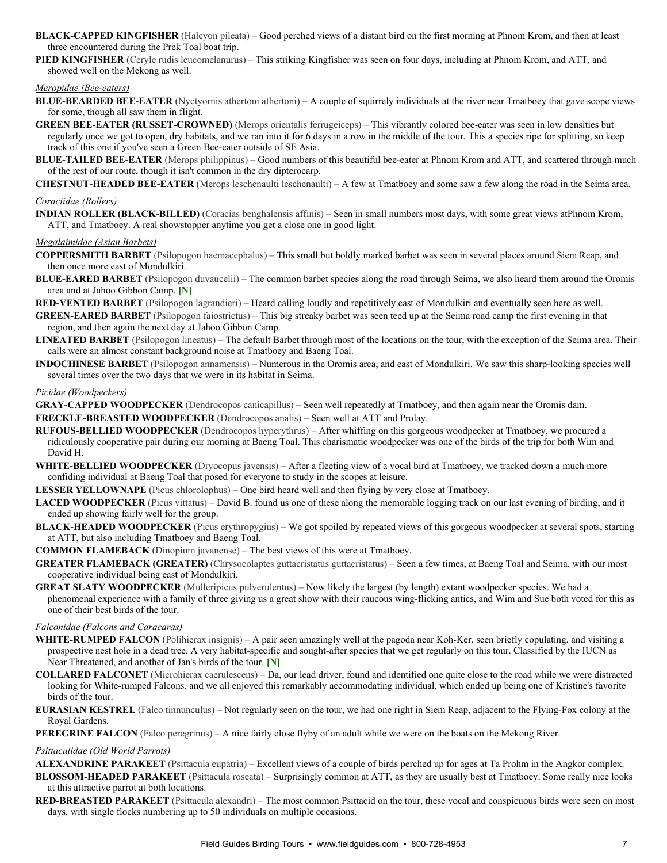- **BLACK-CAPPED KINGFISHER** (Halcyon pileata) Good perched views of a distant bird on the first morning at Phnom Krom, and then at least three encountered during the Prek Toal boat trip.
- **PIED KINGFISHER** (Ceryle rudis leucomelanurus) This striking Kingfisher was seen on four days, including at Phnom Krom, and ATT, and showed well on the Mekong as well.

### *Meropidae (Bee-eaters)*

- **BLUE-BEARDED BEE-EATER** (Nyctyornis athertoni athertoni) A couple of squirrely individuals at the river near Tmatboey that gave scope views for some, though all saw them in flight.
- **GREEN BEE-EATER (RUSSET-CROWNED)** (Merops orientalis ferrugeiceps) This vibrantly colored bee-eater was seen in low densities but regularly once we got to open, dry habitats, and we ran into it for 6 days in a row in the middle of the tour. This a species ripe for splitting, so keep track of this one if you've seen a Green Bee-eater outside of SE Asia.
- **BLUE-TAILED BEE-EATER** (Merops philippinus) Good numbers of this beautiful bee-eater at Phnom Krom and ATT, and scattered through much of the rest of our route, though it isn't common in the dry dipterocarp.
- **CHESTNUT-HEADED BEE-EATER** (Merops leschenaulti leschenaulti) A few at Tmatboey and some saw a few along the road in the Seima area.

### *Coraciidae (Rollers)*

**INDIAN ROLLER (BLACK-BILLED)** (Coracias benghalensis affinis) – Seen in small numbers most days, with some great views atPhnom Krom, ATT, and Tmatboey. A real showstopper anytime you get a close one in good light.

### *Megalaimidae (Asian Barbets)*

- **COPPERSMITH BARBET** (Psilopogon haemacephalus) This small but boldly marked barbet was seen in several places around Siem Reap, and then once more east of Mondulkiri.
- **BLUE-EARED BARBET** (Psilopogon duvaucelii) The common barbet species along the road through Seima, we also heard them around the Oromis area and at Jahoo Gibbon Camp. **[N]**
- **REDVENTED BARBET** (Psilopogon lagrandieri) Heard calling loudly and repetitively east of Mondulkiri and eventually seen here as well.
- **GREEN-EARED BARBET** (Psilopogon faiostrictus) This big streaky barbet was seen teed up at the Seima road camp the first evening in that region, and then again the next day at Jahoo Gibbon Camp.
- **LINEATED BARBET** (Psilopogon lineatus) The default Barbet through most of the locations on the tour, with the exception of the Seima area. Their calls were an almost constant background noise at Tmatboey and Baeng Toal.
- **INDOCHINESE BARBET** (Psilopogon annamensis) Numerous in the Oromis area, and east of Mondulkiri. We saw this sharp-looking species well several times over the two days that we were in its habitat in Seima.

#### *Picidae (Woodpeckers)*

- **GRAY-CAPPED WOODPECKER** (Dendrocopos canicapillus) Seen well repeatedly at Tmatboey, and then again near the Oromis dam. **FRECKLE-BREASTED WOODPECKER** (Dendrocopos analis) – Seen well at ATT and Prolay.
- **RUFOUS-BELLIED WOODPECKER** (Dendrocopos hyperythrus) After whiffing on this gorgeous woodpecker at Tmatboey, we procured a ridiculously cooperative pair during our morning at Baeng Toal. This charismatic woodpecker was one of the birds of the trip for both Wim and David H.
- **WHITE-BELLIED WOODPECKER** (Dryocopus javensis) After a fleeting view of a vocal bird at Tmatboey, we tracked down a much more confiding individual at Baeng Toal that posed for everyone to study in the scopes at leisure.
- **LESSER YELLOWNAPE** (Picus chlorolophus) One bird heard well and then flying by very close at Tmatboey.
- **LACED WOODPECKER** (Picus vittatus) David B. found us one of these along the memorable logging track on our last evening of birding, and it ended up showing fairly well for the group.
- **BLACK-HEADED WOODPECKER** (Picus erythropygius) We got spoiled by repeated views of this gorgeous woodpecker at several spots, starting at ATT, but also including Tmatboey and Baeng Toal.
- **COMMON FLAMEBACK** (Dinopium javanense) The best views of this were at Tmatboey.
- **GREATER FLAMEBACK (GREATER)** (Chrysocolaptes guttacristatus guttacristatus) Seen a few times, at Baeng Toal and Seima, with our most cooperative individual being east of Mondulkiri.
- **GREAT SLATY WOODPECKER** (Mulleripicus pulverulentus) Now likely the largest (by length) extant woodpecker species. We had a phenomenal experience with a family of three giving us a great show with their raucous wing-flicking antics, and Wim and Sue both voted for this as one of their best birds of the tour.

### *Falconidae (Falcons and Caracaras)*

- **WHITE-RUMPED FALCON** (Polihierax insignis) A pair seen amazingly well at the pagoda near Koh-Ker, seen briefly copulating, and visiting a prospective nest hole in a dead tree. A very habitat-specific and sought-after species that we get regularly on this tour. Classified by the IUCN as Near Threatened, and another of Jan's birds of the tour. **[N]**
- **COLLARED FALCONET** (Microhierax caerulescens) Da, our lead driver, found and identified one quite close to the road while we were distracted looking for White-rumped Falcons, and we all enjoyed this remarkably accommodating individual, which ended up being one of Kristine's favorite birds of the tour.
- **EURASIAN KESTREL** (Falco tinnunculus) Not regularly seen on the tour, we had one right in Siem Reap, adjacent to the Flying-Fox colony at the Royal Gardens.
- **PEREGRINE FALCON** (Falco peregrinus) A nice fairly close flyby of an adult while we were on the boats on the Mekong River.

### *Psittaculidae (Old World Parrots)*

**ALEXANDRINE PARAKEET** (Psittacula eupatria) – Excellent views of a couple of birds perched up for ages at Ta Prohm in the Angkor complex. **BLOSSOM-HEADED PARAKEET** (Psittacula roseata) – Surprisingly common at ATT, as they are usually best at Tmatboey. Some really nice looks

### at this attractive parrot at both locations.

**RED-BREASTED PARAKEET** (Psittacula alexandri) – The most common Psittacid on the tour, these vocal and conspicuous birds were seen on most days, with single flocks numbering up to 50 individuals on multiple occasions.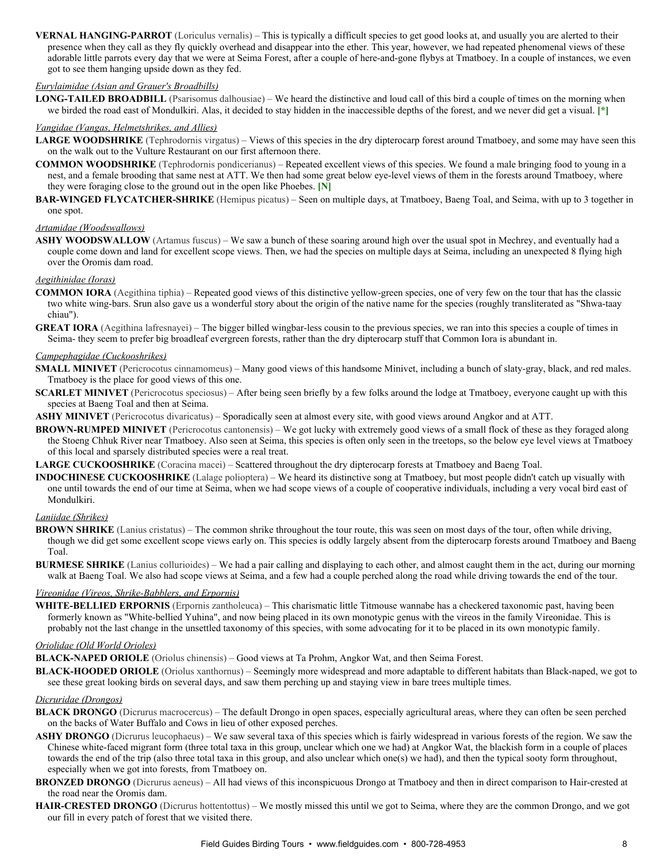VERNAL HANGING-PARROT (Loriculus vernalis) – This is typically a difficult species to get good looks at, and usually you are alerted to their presence when they call as they fly quickly overhead and disappear into the ether. This year, however, we had repeated phenomenal views of these adorable little parrots every day that we were at Seima Forest, after a couple of here-and-gone flybys at Tmatboey. In a couple of instances, we even got to see them hanging upside down as they fed.

### *Eurylaimidae (Asian and Grauer's Broadbills)*

**LONG-TAILED BROADBILL** (Psarisomus dalhousiae) – We heard the distinctive and loud call of this bird a couple of times on the morning when we birded the road east of Mondulkiri. Alas, it decided to stay hidden in the inaccessible depths of the forest, and we never did get a visual. **[\*]**

### *Vangidae (Vangas, Helmetshrikes, and Allies)*

- LARGE WOODSHRIKE (Tephrodornis virgatus) Views of this species in the dry dipterocarp forest around Tmatboey, and some may have seen this on the walk out to the Vulture Restaurant on our first afternoon there.
- **COMMON WOODSHRIKE** (Tephrodornis pondicerianus) Repeated excellent views of this species. We found a male bringing food to young in a nest, and a female brooding that same nest at ATT. We then had some great below eye-level views of them in the forests around Tmatboey, where they were foraging close to the ground out in the open like Phoebes. **[N]**
- **BAR-WINGED FLYCATCHER-SHRIKE** (Hemipus picatus) Seen on multiple days, at Tmatboey, Baeng Toal, and Seima, with up to 3 together in one spot.

### *Artamidae (Woodswallows)*

ASHY WOODSWALLOW (Artamus fuscus) – We saw a bunch of these soaring around high over the usual spot in Mechrey, and eventually had a couple come down and land for excellent scope views. Then, we had the species on multiple days at Seima, including an unexpected 8 flying high over the Oromis dam road.

### *Aegithinidae (Ioras)*

**COMMON IORA** (Aegithina tiphia) – Repeated good views of this distinctive yellow-green species, one of very few on the tour that has the classic two white wing-bars. Srun also gave us a wonderful story about the origin of the native name for the species (roughly transliterated as "Shwa-taay chiau").

**GREAT IORA** (Aegithina lafresnayei) – The bigger billed wingbar-less cousin to the previous species, we ran into this species a couple of times in Seima- they seem to prefer big broadleaf evergreen forests, rather than the dry dipterocarp stuff that Common Iora is abundant in.

#### *Campephagidae (Cuckooshrikes)*

- **SMALL MINIVET** (Pericrocotus cinnamomeus) Many good views of this handsome Minivet, including a bunch of slaty-gray, black, and red males. Tmatboey is the place for good views of this one.
- **SCARLET MINIVET** (Pericrocotus speciosus) After being seen briefly by a few folks around the lodge at Tmatboey, everyone caught up with this species at Baeng Toal and then at Seima.
- **ASHY MINIVET** (Pericrocotus divaricatus) Sporadically seen at almost every site, with good views around Angkor and at ATT.
- **BROWN-RUMPED MINIVET** (Pericrocotus cantonensis) We got lucky with extremely good views of a small flock of these as they foraged along the Stoeng Chhuk River near Tmatboey. Also seen at Seima, this species is often only seen in the treetops, so the below eye level views at Tmatboey of this local and sparsely distributed species were a real treat.

**LARGE CUCKOOSHRIKE** (Coracina macei) – Scattered throughout the dry dipterocarp forests at Tmatboey and Baeng Toal.

**INDOCHINESE CUCKOOSHRIKE** (Lalage polioptera) – We heard its distinctive song at Tmatboey, but most people didn't catch up visually with one until towards the end of our time at Seima, when we had scope views of a couple of cooperative individuals, including a very vocal bird east of Mondulkiri.

### *Laniidae (Shrikes)*

- **BROWN SHRIKE** (Lanius cristatus) The common shrike throughout the tour route, this was seen on most days of the tour, often while driving, though we did get some excellent scope views early on. This species is oddly largely absent from the dipterocarp forests around Tmatboey and Baeng Toal.
- **BURMESE SHRIKE** (Lanius collurioides) We had a pair calling and displaying to each other, and almost caught them in the act, during our morning walk at Baeng Toal. We also had scope views at Seima, and a few had a couple perched along the road while driving towards the end of the tour.

### *Vireonidae (Vireos, Shrike-Babblers, and Erpornis)*

WHITE-BELLIED ERPORNIS (Erpornis zantholeuca) – This charismatic little Titmouse wannabe has a checkered taxonomic past, having been formerly known as "White-bellied Yuhina", and now being placed in its own monotypic genus with the vireos in the family Vireonidae. This is probably not the last change in the unsettled taxonomy of this species, with some advocating for it to be placed in its own monotypic family.

### *Oriolidae (Old World Orioles)*

**BLACK-NAPED ORIOLE** (Oriolus chinensis) – Good views at Ta Prohm, Angkor Wat, and then Seima Forest.

**BLACK-HOODED ORIOLE** (Oriolus xanthornus) – Seemingly more widespread and more adaptable to different habitats than Black-naped, we got to see these great looking birds on several days, and saw them perching up and staying view in bare trees multiple times.

### *Dicruridae (Drongos)*

- **BLACK DRONGO** (Dicrurus macrocercus) The default Drongo in open spaces, especially agricultural areas, where they can often be seen perched on the backs of Water Buffalo and Cows in lieu of other exposed perches.
- **ASHY DRONGO** (Dicrurus leucophaeus) We saw several taxa of this species which is fairly widespread in various forests of the region. We saw the Chinese white-faced migrant form (three total taxa in this group, unclear which one we had) at Angkor Wat, the blackish form in a couple of places towards the end of the trip (also three total taxa in this group, and also unclear which one(s) we had), and then the typical sooty form throughout, especially when we got into forests, from Tmatboey on.
- **BRONZED DRONGO** (Dicrurus aeneus) All had views of this inconspicuous Drongo at Tmatboey and then in direct comparison to Hair-crested at the road near the Oromis dam.
- **HAIR-CRESTED DRONGO** (Dicrurus hottentottus) We mostly missed this until we got to Seima, where they are the common Drongo, and we got our fill in every patch of forest that we visited there.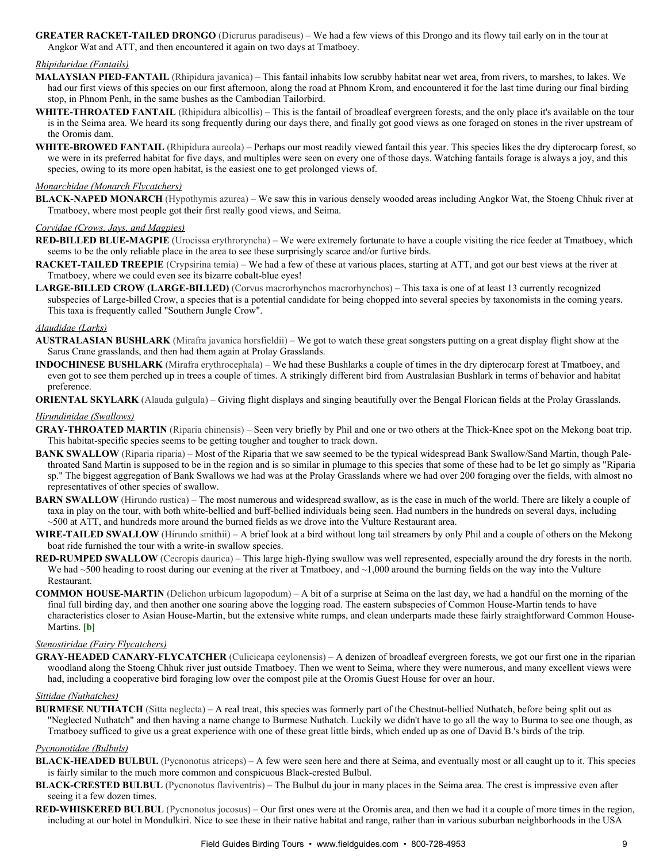**GREATER RACKET-TAILED DRONGO** (Dicrurus paradiseus) – We had a few views of this Drongo and its flowy tail early on in the tour at Angkor Wat and ATT, and then encountered it again on two days at Tmatboey.

### *Rhipiduridae (Fantails)*

- **MALAYSIAN PIEDFANTAIL** (Rhipidura javanica) This fantail inhabits low scrubby habitat near wet area, from rivers, to marshes, to lakes. We had our first views of this species on our first afternoon, along the road at Phnom Krom, and encountered it for the last time during our final birding stop, in Phnom Penh, in the same bushes as the Cambodian Tailorbird.
- **WHITE-THROATED FANTAIL** (Rhipidura albicollis) This is the fantail of broadleaf evergreen forests, and the only place it's available on the tour is in the Seima area. We heard its song frequently during our days there, and finally got good views as one foraged on stones in the river upstream of the Oromis dam.
- **WHITE-BROWED FANTAIL** (Rhipidura aureola) Perhaps our most readily viewed fantail this year. This species likes the dry dipterocarp forest, so we were in its preferred habitat for five days, and multiples were seen on every one of those days. Watching fantails forage is always a joy, and this species, owing to its more open habitat, is the easiest one to get prolonged views of.

### *Monarchidae (Monarch Flycatchers)*

**BLACK-NAPED MONARCH** (Hypothymis azurea) – We saw this in various densely wooded areas including Angkor Wat, the Stoeng Chhuk river at Tmatboey, where most people got their first really good views, and Seima.

### *Corvidae (Crows, Jays, and Magpies)*

- **RED-BILLED BLUE-MAGPIE** (Urocissa erythroryncha) We were extremely fortunate to have a couple visiting the rice feeder at Tmatboey, which seems to be the only reliable place in the area to see these surprisingly scarce and/or furtive birds.
- **RACKET-TAILED TREEPIE** (Crypsirina temia) We had a few of these at various places, starting at ATT, and got our best views at the river at Tmatboey, where we could even see its bizarre cobalt-blue eyes!
- **LARGE-BILLED CROW (LARGE-BILLED)** (Corvus macrorhynchos macrorhynchos) This taxa is one of at least 13 currently recognized subspecies of Large-billed Crow, a species that is a potential candidate for being chopped into several species by taxonomists in the coming years. This taxa is frequently called "Southern Jungle Crow".

### *Alaudidae (Larks)*

- **AUSTRALASIAN BUSHLARK** (Mirafra javanica horsfieldii) We got to watch these great songsters putting on a great display flight show at the Sarus Crane grasslands, and then had them again at Prolay Grasslands.
- **INDOCHINESE BUSHLARK** (Mirafra erythrocephala) We had these Bushlarks a couple of times in the dry dipterocarp forest at Tmatboey, and even got to see them perched up in trees a couple of times. A strikingly different bird from Australasian Bushlark in terms of behavior and habitat preference.

**ORIENTAL SKYLARK** (Alauda gulgula) – Giving flight displays and singing beautifully over the Bengal Florican fields at the Prolay Grasslands.

### *Hirundinidae (Swallows)*

- GRAY-THROATED MARTIN (Riparia chinensis) Seen very briefly by Phil and one or two others at the Thick-Knee spot on the Mekong boat trip. This habitat-specific species seems to be getting tougher and tougher to track down.
- **BANK SWALLOW** (Riparia riparia) Most of the Riparia that we saw seemed to be the typical widespread Bank Swallow/Sand Martin, though Palethroated Sand Martin is supposed to be in the region and is so similar in plumage to this species that some of these had to be let go simply as "Riparia sp." The biggest aggregation of Bank Swallows we had was at the Prolay Grasslands where we had over 200 foraging over the fields, with almost no representatives of other species of swallow.
- **BARN SWALLOW** (Hirundo rustica) The most numerous and widespread swallow, as is the case in much of the world. There are likely a couple of taxa in play on the tour, with both white-bellied and buff-bellied individuals being seen. Had numbers in the hundreds on several days, including ~500 at ATT, and hundreds more around the burned fields as we drove into the Vulture Restaurant area.
- **WIRETAILED SWALLOW** (Hirundo smithii) A brief look at a bird without long tail streamers by only Phil and a couple of others on the Mekong boat ride furnished the tour with a write-in swallow species.
- **RED-RUMPED SWALLOW** (Cecropis daurica) This large high-flying swallow was well represented, especially around the dry forests in the north. We had ~500 heading to roost during our evening at the river at Tmatboey, and ~1,000 around the burning fields on the way into the Vulture Restaurant.
- **COMMON HOUSE-MARTIN** (Delichon urbicum lagopodum) A bit of a surprise at Seima on the last day, we had a handful on the morning of the final full birding day, and then another one soaring above the logging road. The eastern subspecies of Common House-Martin tends to have characteristics closer to Asian House-Martin, but the extensive white rumps, and clean underparts made these fairly straightforward Common House-Martins. **[b]**

### *Stenostiridae (Fairy Flycatchers)*

**GRAY-HEADED CANARY-FLYCATCHER** (Culicicapa ceylonensis) – A denizen of broadleaf evergreen forests, we got our first one in the riparian woodland along the Stoeng Chhuk river just outside Tmatboey. Then we went to Seima, where they were numerous, and many excellent views were had, including a cooperative bird foraging low over the compost pile at the Oromis Guest House for over an hour.

## *Sittidae (Nuthatches)*

**BURMESE NUTHATCH** (Sitta neglecta) – A real treat, this species was formerly part of the Chestnut-bellied Nuthatch, before being split out as "Neglected Nuthatch" and then having a name change to Burmese Nuthatch. Luckily we didn't have to go all the way to Burma to see one though, as Tmatboey sufficed to give us a great experience with one of these great little birds, which ended up as one of David B.'s birds of the trip.

### *Pycnonotidae (Bulbuls)*

- **BLACK-HEADED BULBUL** (Pycnonotus atriceps) A few were seen here and there at Seima, and eventually most or all caught up to it. This species is fairly similar to the much more common and conspicuous Black-crested Bulbul.
- **BLACK-CRESTED BULBUL** (Pycnonotus flaviventris) The Bulbul du jour in many places in the Seima area. The crest is impressive even after seeing it a few dozen times.
- **RED-WHISKERED BULBUL** (Pycnonotus jocosus) Our first ones were at the Oromis area, and then we had it a couple of more times in the region, including at our hotel in Mondulkiri. Nice to see these in their native habitat and range, rather than in various suburban neighborhoods in the USA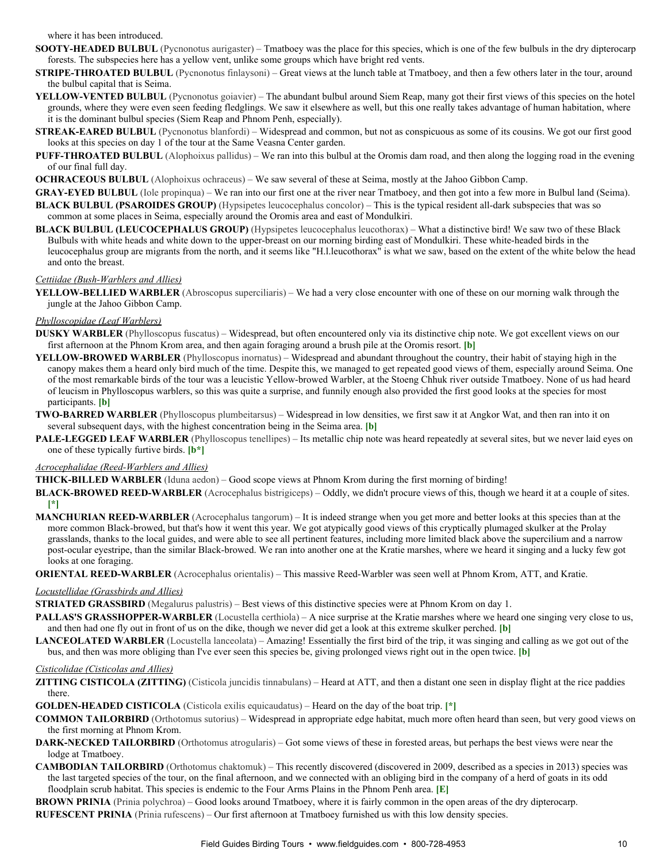where it has been introduced.

- **SOOTY-HEADED BULBUL** (Pycnonotus aurigaster) Tmatboey was the place for this species, which is one of the few bulbuls in the dry dipterocarp forests. The subspecies here has a yellow vent, unlike some groups which have bright red vents.
- **STRIPE-THROATED BULBUL** (Pycnonotus finlaysoni) Great views at the lunch table at Tmatboey, and then a few others later in the tour, around the bulbul capital that is Seima.
- YELLOW-VENTED BULBUL (Pycnonotus goiavier) The abundant bulbul around Siem Reap, many got their first views of this species on the hotel grounds, where they were even seen feeding fledglings. We saw it elsewhere as well, but this one really takes advantage of human habitation, where it is the dominant bulbul species (Siem Reap and Phnom Penh, especially).
- **STREAK-EARED BULBUL** (Pycnonotus blanfordi) Widespread and common, but not as conspicuous as some of its cousins. We got our first good looks at this species on day 1 of the tour at the Same Veasna Center garden.
- **PUFF-THROATED BULBUL** (Alophoixus pallidus) We ran into this bulbul at the Oromis dam road, and then along the logging road in the evening of our final full day.
- **OCHRACEOUS BULBUL** (Alophoixus ochraceus) We saw several of these at Seima, mostly at the Jahoo Gibbon Camp.
- **GRAYEYED BULBUL** (Iole propinqua) We ran into our first one at the river near Tmatboey, and then got into a few more in Bulbul land (Seima). **BLACK BULBUL (PSAROIDES GROUP)** (Hypsipetes leucocephalus concolor) – This is the typical resident all-dark subspecies that was so common at some places in Seima, especially around the Oromis area and east of Mondulkiri.
- **BLACK BULBUL (LEUCOCEPHALUS GROUP)** (Hypsipetes leucocephalus leucothorax) What a distinctive bird! We saw two of these Black Bulbuls with white heads and white down to the upper-breast on our morning birding east of Mondulkiri. These white-headed birds in the leucocephalus group are migrants from the north, and it seems like "H.l.leucothorax" is what we saw, based on the extent of the white below the head and onto the breast.

### *Cettiidae (Bush-Warblers and Allies)*

YELLOW-BELLIED WARBLER (Abroscopus superciliaris) – We had a very close encounter with one of these on our morning walk through the jungle at the Jahoo Gibbon Camp.

### *Phylloscopidae (Leaf Warblers)*

- **DUSKY WARBLER** (Phylloscopus fuscatus) Widespread, but often encountered only via its distinctive chip note. We got excellent views on our first afternoon at the Phnom Krom area, and then again foraging around a brush pile at the Oromis resort. **[b]**
- **YELLOW-BROWED WARBLER** (Phylloscopus inornatus) Widespread and abundant throughout the country, their habit of staying high in the canopy makes them a heard only bird much of the time. Despite this, we managed to get repeated good views of them, especially around Seima. One of the most remarkable birds of the tour was a leucistic Yellowbrowed Warbler, at the Stoeng Chhuk river outside Tmatboey. None of us had heard of leucism in Phylloscopus warblers, so this was quite a surprise, and funnily enough also provided the first good looks at the species for most participants. **[b]**
- **TWO-BARRED WARBLER** (Phylloscopus plumbeitarsus) Widespread in low densities, we first saw it at Angkor Wat, and then ran into it on several subsequent days, with the highest concentration being in the Seima area. **[b]**
- **PALE-LEGGED LEAF WARBLER** (Phylloscopus tenellipes) Its metallic chip note was heard repeatedly at several sites, but we never laid eyes on one of these typically furtive birds. **[b\*]**

### **Acrocephalidae (Reed-Warblers and Allies)**

**THICK-BILLED WARBLER** (Iduna aedon) – Good scope views at Phnom Krom during the first morning of birding!

- **BLACK-BROWED REED-WARBLER** (Acrocephalus bistrigiceps) Oddly, we didn't procure views of this, though we heard it at a couple of sites. **[\*]**
- **MANCHURIAN REED-WARBLER** (Acrocephalus tangorum) It is indeed strange when you get more and better looks at this species than at the more common Black-browed, but that's how it went this year. We got atypically good views of this cryptically plumaged skulker at the Prolay grasslands, thanks to the local guides, and were able to see all pertinent features, including more limited black above the supercilium and a narrow post-ocular eyestripe, than the similar Black-browed. We ran into another one at the Kratie marshes, where we heard it singing and a lucky few got looks at one foraging.
- **ORIENTAL REED-WARBLER** (Acrocephalus orientalis) This massive Reed-Warbler was seen well at Phnom Krom, ATT, and Kratie.

### *Locustellidae (Grassbirds and Allies)*

**STRIATED GRASSBIRD** (Megalurus palustris) – Best views of this distinctive species were at Phnom Krom on day 1.

- **PALLAS'S GRASSHOPPER-WARBLER** (Locustella certhiola) A nice surprise at the Kratie marshes where we heard one singing very close to us, and then had one fly out in front of us on the dike, though we never did get a look at this extreme skulker perched. **[b]**
- LANCEOLATED WARBLER (Locustella lanceolata) Amazing! Essentially the first bird of the trip, it was singing and calling as we got out of the bus, and then was more obliging than I've ever seen this species be, giving prolonged views right out in the open twice. **[b]**

### *Cisticolidae (Cisticolas and Allies)*

- **ZITTING CISTICOLA (ZITTING)** (Cisticola juncidis tinnabulans) Heard at ATT, and then a distant one seen in display flight at the rice paddies there.
- **GOLDEN-HEADED CISTICOLA** (Cisticola exilis equicaudatus) Heard on the day of the boat trip. [\*]
- **COMMON TAILORBIRD** (Orthotomus sutorius) Widespread in appropriate edge habitat, much more often heard than seen, but very good views on the first morning at Phnom Krom.
- **DARK-NECKED TAILORBIRD** (Orthotomus atrogularis) Got some views of these in forested areas, but perhaps the best views were near the lodge at Tmatboey.
- **CAMBODIAN TAILORBIRD** (Orthotomus chaktomuk) This recently discovered (discovered in 2009, described as a species in 2013) species was the last targeted species of the tour, on the final afternoon, and we connected with an obliging bird in the company of a herd of goats in its odd floodplain scrub habitat. This species is endemic to the Four Arms Plains in the Phnom Penh area. **[E]**

**BROWN PRINIA** (Prinia polychroa) – Good looks around Tmatboey, where it is fairly common in the open areas of the dry dipterocarp.

**RUFESCENT PRINIA** (Prinia rufescens) – Our first afternoon at Tmatboey furnished us with this low density species.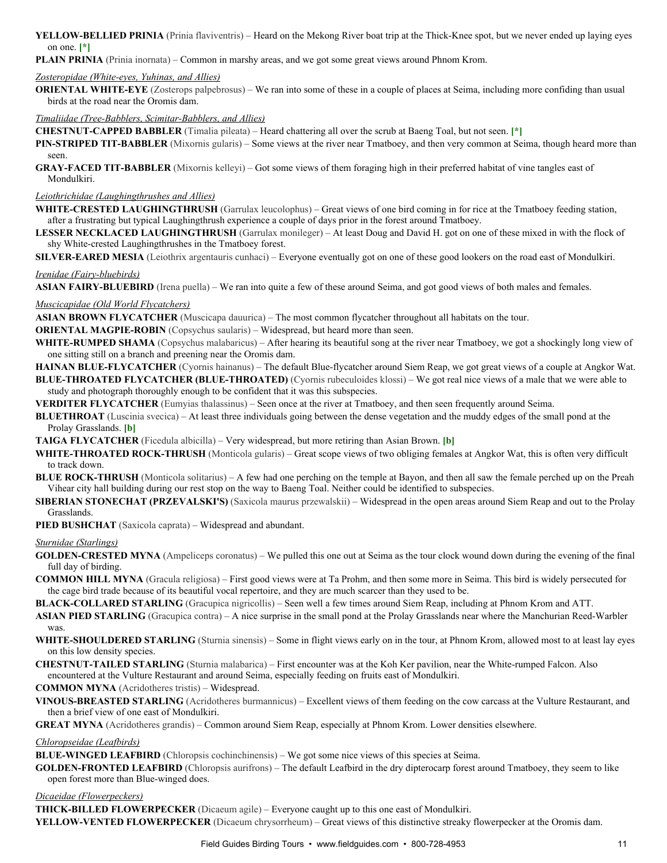**YELLOW-BELLIED PRINIA** (Prinia flaviventris) – Heard on the Mekong River boat trip at the Thick-Knee spot, but we never ended up laying eyes on one. **[\*]**

**PLAIN PRINIA** (Prinia inornata) – Common in marshy areas, and we got some great views around Phnom Krom.

### **Zosteropidae (White-eyes, Yuhinas, and Allies)**

**ORIENTAL WHITE-EYE** (Zosterops palpebrosus) – We ran into some of these in a couple of places at Seima, including more confiding than usual birds at the road near the Oromis dam.

### **Timaliidae (Tree-Babblers, Scimitar-Babblers, and Allies)**

**CHESTNUT-CAPPED BABBLER** (Timalia pileata) – Heard chattering all over the scrub at Baeng Toal, but not seen. [\*]

**PIN-STRIPED TIT-BABBLER** (Mixornis gularis) – Some views at the river near Tmatboey, and then very common at Seima, though heard more than seen.

**GRAY-FACED TIT-BABBLER** (Mixornis kelleyi) – Got some views of them foraging high in their preferred habitat of vine tangles east of Mondulkiri.

## *Leiothrichidae (Laughingthrushes and Allies)*

WHITE-CRESTED LAUGHINGTHRUSH (Garrulax leucolophus) – Great views of one bird coming in for rice at the Tmatboey feeding station, after a frustrating but typical Laughingthrush experience a couple of days prior in the forest around Tmatboey.

**LESSER NECKLACED LAUGHINGTHRUSH** (Garrulax monileger) – At least Doug and David H. got on one of these mixed in with the flock of shy White-crested Laughingthrushes in the Tmatboey forest.

**SILVER-EARED MESIA** (Leiothrix argentauris cunhaci) – Everyone eventually got on one of these good lookers on the road east of Mondulkiri.

### *Irenidae (Fairy-bluebirds)*

**ASIAN FAIRY-BLUEBIRD** (Irena puella) – We ran into quite a few of these around Seima, and got good views of both males and females.

### *Muscicapidae (Old World Flycatchers)*

**ASIAN BROWN FLYCATCHER** (Muscicapa dauurica) – The most common flycatcher throughout all habitats on the tour.

**ORIENTAL MAGPIE-ROBIN** (Copsychus saularis) – Widespread, but heard more than seen.

WHITE-RUMPED SHAMA (Copsychus malabaricus) – After hearing its beautiful song at the river near Tmatboey, we got a shockingly long view of one sitting still on a branch and preening near the Oromis dam.

**HAINAN BLUE-FLYCATCHER** (Cyornis hainanus) – The default Blue-flycatcher around Siem Reap, we got great views of a couple at Angkor Wat. **BLUETHROATED FLYCATCHER (BLUETHROATED)** (Cyornis rubeculoides klossi) – We got real nice views of a male that we were able to study and photograph thoroughly enough to be confident that it was this subspecies.

**VERDITER FLYCATCHER** (Eumyias thalassinus) – Seen once at the river at Tmatboey, and then seen frequently around Seima.

**BLUETHROAT** (Luscinia svecica) – At least three individuals going between the dense vegetation and the muddy edges of the small pond at the Prolay Grasslands. **[b]**

**TAIGA FLYCATCHER** (Ficedula albicilla) – Very widespread, but more retiring than Asian Brown. **[b]**

- WHITE-THROATED ROCK-THRUSH (Monticola gularis) Great scope views of two obliging females at Angkor Wat, this is often very difficult to track down.
- **BLUE ROCK-THRUSH** (Monticola solitarius) A few had one perching on the temple at Bayon, and then all saw the female perched up on the Preah Vihear city hall building during our rest stop on the way to Baeng Toal. Neither could be identified to subspecies.
- **SIBERIAN STONECHAT (PRZEVALSKI'S)** (Saxicola maurus przewalskii) Widespread in the open areas around Siem Reap and out to the Prolay Grasslands.

**PIED BUSHCHAT** (Saxicola caprata) – Widespread and abundant.

### *Sturnidae (Starlings)*

- **GOLDEN-CRESTED MYNA** (Ampeliceps coronatus) We pulled this one out at Seima as the tour clock wound down during the evening of the final full day of birding.
- **COMMON HILL MYNA** (Gracula religiosa) First good views were at Ta Prohm, and then some more in Seima. This bird is widely persecuted for the cage bird trade because of its beautiful vocal repertoire, and they are much scarcer than they used to be.

**BLACK-COLLARED STARLING** (Gracupica nigricollis) – Seen well a few times around Siem Reap, including at Phnom Krom and ATT.

**ASIAN PIED STARLING** (Gracupica contra) – A nice surprise in the small pond at the Prolay Grasslands near where the Manchurian Reed-Warbler was.

- WHITE-SHOULDERED STARLING (Sturnia sinensis) Some in flight views early on in the tour, at Phnom Krom, allowed most to at least lay eyes on this low density species.
- **CHESTNUT-TAILED STARLING** (Sturnia malabarica) First encounter was at the Koh Ker pavilion, near the White-rumped Falcon. Also encountered at the Vulture Restaurant and around Seima, especially feeding on fruits east of Mondulkiri.

**COMMON MYNA** (Acridotheres tristis) – Widespread.

**VINOUSBREASTED STARLING** (Acridotheres burmannicus) – Excellent views of them feeding on the cow carcass at the Vulture Restaurant, and then a brief view of one east of Mondulkiri.

**GREAT MYNA** (Acridotheres grandis) – Common around Siem Reap, especially at Phnom Krom. Lower densities elsewhere.

### *Chloropseidae (Leafbirds)*

**BLUE-WINGED LEAFBIRD** (Chloropsis cochinchinensis) – We got some nice views of this species at Seima.

**GOLDEN-FRONTED LEAFBIRD** (Chloropsis aurifrons) – The default Leafbird in the dry dipterocarp forest around Tmatboey, they seem to like open forest more than Blue-winged does.

### *Dicaeidae (Flowerpeckers)*

**THICK-BILLED FLOWERPECKER** (Dicaeum agile) – Everyone caught up to this one east of Mondulkiri.

YELLOW-VENTED FLOWERPECKER (Dicaeum chrysorrheum) – Great views of this distinctive streaky flowerpecker at the Oromis dam.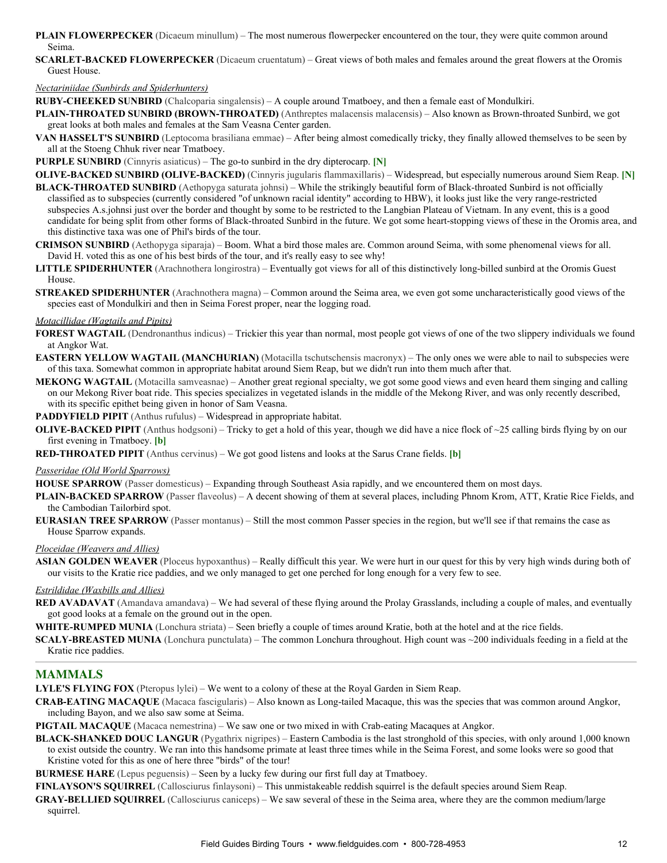- **PLAIN FLOWERPECKER** (Dicaeum minullum) The most numerous flowerpecker encountered on the tour, they were quite common around Seima.
- **SCARLET-BACKED FLOWERPECKER** (Dicaeum cruentatum) Great views of both males and females around the great flowers at the Oromis Guest House.

#### *Nectariniidae (Sunbirds and Spiderhunters)*

**RUBY-CHEEKED SUNBIRD** (Chalcoparia singalensis) – A couple around Tmatboey, and then a female east of Mondulkiri.

- PLAIN-THROATED SUNBIRD (BROWN-THROATED) (Anthreptes malacensis malacensis) Also known as Brown-throated Sunbird, we got great looks at both males and females at the Sam Veasna Center garden.
- **VAN HASSELT'S SUNBIRD** (Leptocoma brasiliana emmae) After being almost comedically tricky, they finally allowed themselves to be seen by all at the Stoeng Chhuk river near Tmatboey.

**PURPLE SUNBIRD** (Cinnyris asiaticus) – The go-to sunbird in the dry dipterocarp. [N]

- **OLIVE-BACKED SUNBIRD (OLIVE-BACKED)** (Cinnyris jugularis flammaxillaris) Widespread, but especially numerous around Siem Reap. [N] **BLACK-THROATED SUNBIRD** (Aethopyga saturata johnsi) – While the strikingly beautiful form of Black-throated Sunbird is not officially classified as to subspecies (currently considered "of unknown racial identity" according to HBW), it looks just like the very rangerestricted subspecies A.s.johnsi just over the border and thought by some to be restricted to the Langbian Plateau of Vietnam. In any event, this is a good candidate for being split from other forms of Black-throated Sunbird in the future. We got some heart-stopping views of these in the Oromis area, and this distinctive taxa was one of Phil's birds of the tour.
- **CRIMSON SUNBIRD** (Aethopyga siparaja) Boom. What a bird those males are. Common around Seima, with some phenomenal views for all. David H. voted this as one of his best birds of the tour, and it's really easy to see why!
- LITTLE SPIDERHUNTER (Arachnothera longirostra) Eventually got views for all of this distinctively long-billed sunbird at the Oromis Guest House.
- **STREAKED SPIDERHUNTER** (Arachnothera magna) Common around the Seima area, we even got some uncharacteristically good views of the species east of Mondulkiri and then in Seima Forest proper, near the logging road.

### *Motacillidae (Wagtails and Pipits)*

- **FOREST WAGTAIL** (Dendronanthus indicus) Trickier this year than normal, most people got views of one of the two slippery individuals we found at Angkor Wat.
- **EASTERN YELLOW WAGTAIL (MANCHURIAN)** (Motacilla tschutschensis macronyx) The only ones we were able to nail to subspecies were of this taxa. Somewhat common in appropriate habitat around Siem Reap, but we didn't run into them much after that.
- **MEKONG WAGTAIL** (Motacilla samveasnae) Another great regional specialty, we got some good views and even heard them singing and calling on our Mekong River boat ride. This species specializes in vegetated islands in the middle of the Mekong River, and was only recently described, with its specific epithet being given in honor of Sam Veasna.

**PADDYFIELD PIPIT** (Anthus rufulus) – Widespread in appropriate habitat.

**OLIVE-BACKED PIPIT** (Anthus hodgsoni) – Tricky to get a hold of this year, though we did have a nice flock of ~25 calling birds flying by on our first evening in Tmatboey. **[b]**

**REDTHROATED PIPIT** (Anthus cervinus) – We got good listens and looks at the Sarus Crane fields. **[b]**

#### *Passeridae (Old World Sparrows)*

**HOUSE SPARROW** (Passer domesticus) – Expanding through Southeast Asia rapidly, and we encountered them on most days.

- **PLAIN-BACKED SPARROW** (Passer flaveolus) A decent showing of them at several places, including Phnom Krom, ATT, Kratie Rice Fields, and the Cambodian Tailorbird spot.
- **EURASIAN TREE SPARROW** (Passer montanus) Still the most common Passer species in the region, but we'll see if that remains the case as House Sparrow expands.

*Ploceidae (Weavers and Allies)*

**ASIAN GOLDEN WEAVER** (Ploceus hypoxanthus) – Really difficult this year. We were hurt in our quest for this by very high winds during both of our visits to the Kratie rice paddies, and we only managed to get one perched for long enough for a very few to see.

## *Estrildidae (Waxbills and Allies)*

**RED AVADAVAT** (Amandava amandava) – We had several of these flying around the Prolay Grasslands, including a couple of males, and eventually got good looks at a female on the ground out in the open.

**WHITE-RUMPED MUNIA** (Lonchura striata) – Seen briefly a couple of times around Kratie, both at the hotel and at the rice fields.

**SCALY-BREASTED MUNIA** (Lonchura punctulata) – The common Lonchura throughout. High count was ~200 individuals feeding in a field at the Kratie rice paddies.

# **MAMMALS**

**LYLE'S FLYING FOX** (Pteropus lylei) – We went to a colony of these at the Royal Garden in Siem Reap.

**CRAB-EATING MACAQUE** (Macaca fascigularis) – Also known as Long-tailed Macaque, this was the species that was common around Angkor, including Bayon, and we also saw some at Seima.

**PIGTAIL MACAQUE** (Macaca nemestrina) – We saw one or two mixed in with Crabeating Macaques at Angkor.

- **BLACK-SHANKED DOUC LANGUR** (Pygathrix nigripes) Eastern Cambodia is the last stronghold of this species, with only around 1,000 known to exist outside the country. We ran into this handsome primate at least three times while in the Seima Forest, and some looks were so good that Kristine voted for this as one of here three "birds" of the tour!
- **BURMESE HARE** (Lepus peguensis) Seen by a lucky few during our first full day at Tmatboey.

**FINLAYSON'S SQUIRREL** (Callosciurus finlaysoni) – This unmistakeable reddish squirrel is the default species around Siem Reap.

**GRAY-BELLIED SQUIRREL** (Callosciurus caniceps) – We saw several of these in the Seima area, where they are the common medium/large squirrel.